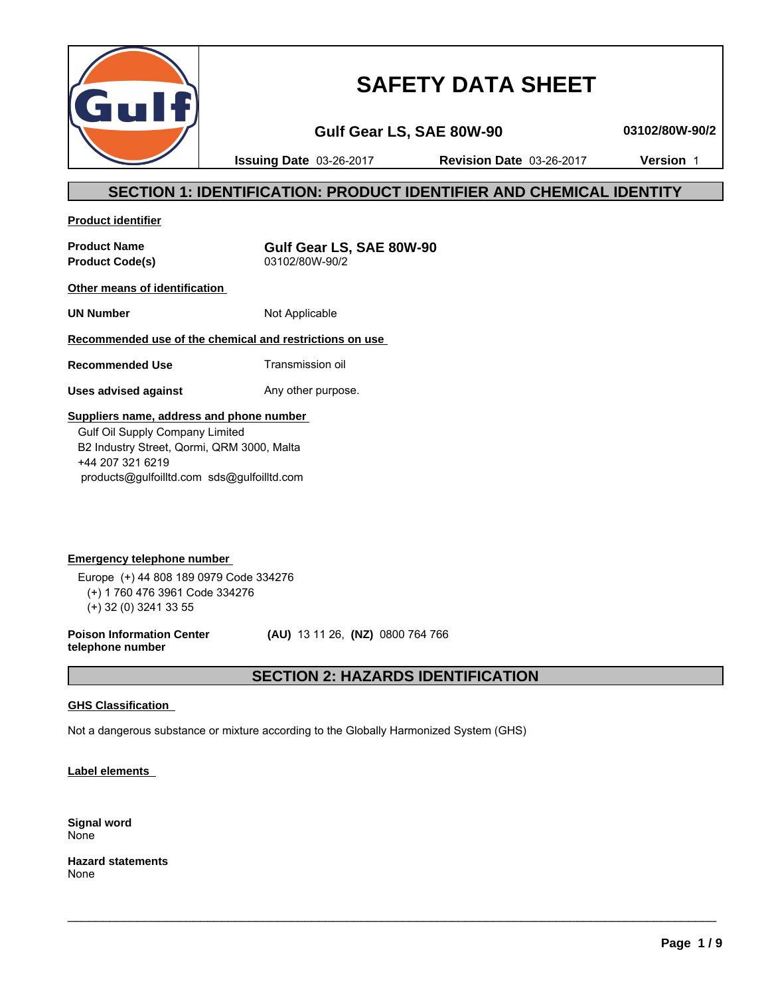

# **SAFETY DATA SHEET**

**Gulf Gear LS, SAE 80W-90 03102/80W-90/2**

**Issuing Date** 03-26-2017 **Revision Date** 03-26-2017 **Version** 1

### **SECTION 1: IDENTIFICATION: PRODUCT IDENTIFIER AND CHEMICAL IDENTITY**

**Product identifier**

**Product Code(s)** 

**Product Name**<br> **Product Code(s)**<br> **Product Code(s)**<br> **Gulf Gear LS, SAE 80W-90** 

**Other means of identification** 

**UN Number** Not Applicable

### **Recommended use of the chemical and restrictions on use**

**Recommended Use** Transmission oil

**Uses advised against** Any other purpose.

### **Suppliers name, address and phone number**

 Gulf Oil Supply Company Limited B2 Industry Street, Qormi, QRM 3000, Malta +44 207 321 6219 products@gulfoilltd.com sds@gulfoilltd.com

**Emergency telephone number**  Europe (+) 44 808 189 0979 Code 334276 (+) 1 760 476 3961 Code 334276 (+) 32 (0) 3241 33 55

**Poison Information Center telephone number**

 **(AU)** 13 11 26, **(NZ)** 0800 764 766

### **SECTION 2: HAZARDS IDENTIFICATION**

 $\_$  ,  $\_$  ,  $\_$  ,  $\_$  ,  $\_$  ,  $\_$  ,  $\_$  ,  $\_$  ,  $\_$  ,  $\_$  ,  $\_$  ,  $\_$  ,  $\_$  ,  $\_$  ,  $\_$  ,  $\_$  ,  $\_$  ,  $\_$  ,  $\_$  ,  $\_$  ,  $\_$  ,  $\_$  ,  $\_$  ,  $\_$  ,  $\_$  ,  $\_$  ,  $\_$  ,  $\_$  ,  $\_$  ,  $\_$  ,  $\_$  ,  $\_$  ,  $\_$  ,  $\_$  ,  $\_$  ,  $\_$  ,  $\_$  ,

#### **GHS Classification**

Not a dangerous substance or mixture according to the Globally Harmonized System (GHS)

**Label elements** 

**Signal word** None

**Hazard statements** None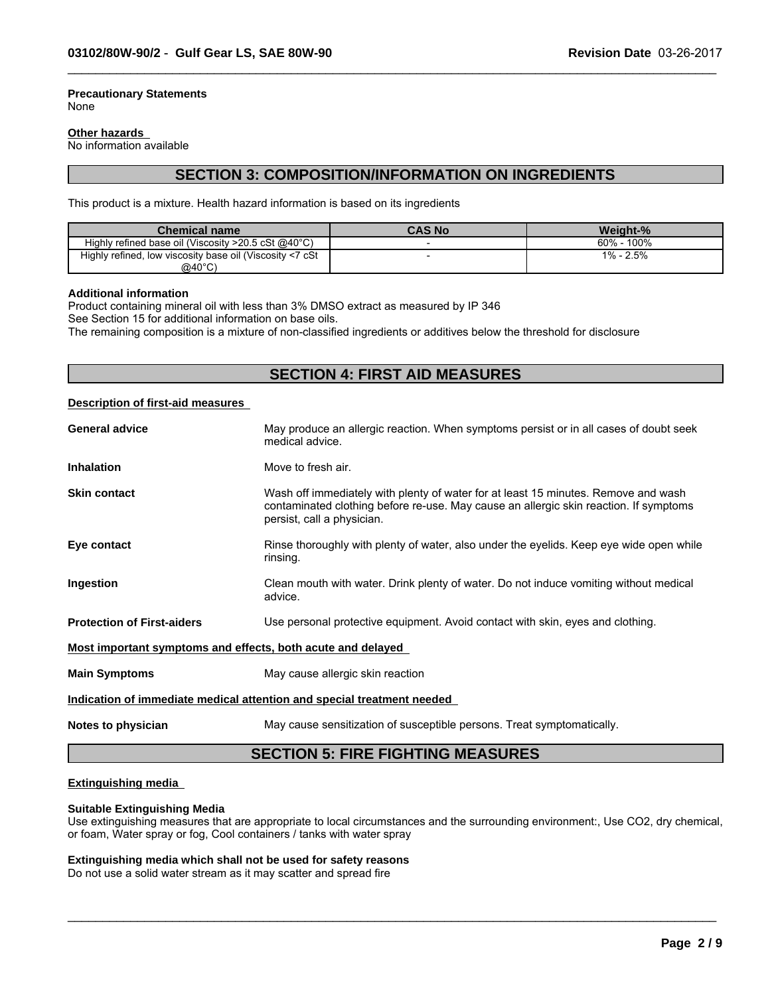#### **Precautionary Statements** None

#### **Other hazards**

No information available

### **SECTION 3: COMPOSITION/INFORMATION ON INGREDIENTS**

 $\_$  ,  $\_$  ,  $\_$  ,  $\_$  ,  $\_$  ,  $\_$  ,  $\_$  ,  $\_$  ,  $\_$  ,  $\_$  ,  $\_$  ,  $\_$  ,  $\_$  ,  $\_$  ,  $\_$  ,  $\_$  ,  $\_$  ,  $\_$  ,  $\_$  ,  $\_$  ,  $\_$  ,  $\_$  ,  $\_$  ,  $\_$  ,  $\_$  ,  $\_$  ,  $\_$  ,  $\_$  ,  $\_$  ,  $\_$  ,  $\_$  ,  $\_$  ,  $\_$  ,  $\_$  ,  $\_$  ,  $\_$  ,  $\_$  ,

This product is a mixture. Health hazard information is based on its ingredients

| <b>Chemical name</b>                                             | <b>CAS No</b> | Weight-%        |
|------------------------------------------------------------------|---------------|-----------------|
| Highly refined base oil (Viscosity $>20.5$ cSt @40 $^{\circ}$ C) |               | 100%<br>$60% -$ |
| ', low viscosity base oil (Viscosity <7 cSt<br>Highly refined,   |               | 1% - 2.5%       |
| $@40^{\circ}$ C)                                                 |               |                 |

#### **Additional information**

Product containing mineral oil with less than 3% DMSO extract as measured by IP 346

See Section 15 for additional information on base oils.

The remaining composition is a mixture of non-classified ingredients or additives below the threshold for disclosure

### **SECTION 4: FIRST AID MEASURES**

#### **Description of first-aid measures**

| <b>General advice</b>                                       | May produce an allergic reaction. When symptoms persist or in all cases of doubt seek<br>medical advice.                                                                                                  |
|-------------------------------------------------------------|-----------------------------------------------------------------------------------------------------------------------------------------------------------------------------------------------------------|
| <b>Inhalation</b>                                           | Move to fresh air.                                                                                                                                                                                        |
| <b>Skin contact</b>                                         | Wash off immediately with plenty of water for at least 15 minutes. Remove and wash<br>contaminated clothing before re-use. May cause an allergic skin reaction. If symptoms<br>persist, call a physician. |
| Eye contact                                                 | Rinse thoroughly with plenty of water, also under the eyelids. Keep eye wide open while<br>rinsing.                                                                                                       |
| Ingestion                                                   | Clean mouth with water. Drink plenty of water. Do not induce vomiting without medical<br>advice.                                                                                                          |
| <b>Protection of First-aiders</b>                           | Use personal protective equipment. Avoid contact with skin, eyes and clothing.                                                                                                                            |
| Most important symptoms and effects, both acute and delayed |                                                                                                                                                                                                           |
| <b>Main Symptoms</b>                                        | May cause allergic skin reaction                                                                                                                                                                          |
|                                                             | Indication of immediate medical attention and special treatment needed                                                                                                                                    |
| Notes to physician                                          | May cause sensitization of susceptible persons. Treat symptomatically.                                                                                                                                    |
|                                                             |                                                                                                                                                                                                           |

### **SECTION 5: FIRE FIGHTING MEASURES**

#### **Extinguishing media**

#### **Suitable Extinguishing Media**

Use extinguishing measures that are appropriate to local circumstances and the surrounding environment:, Use CO2, dry chemical, or foam, Water spray or fog, Cool containers / tanks with water spray

 $\_$  ,  $\_$  ,  $\_$  ,  $\_$  ,  $\_$  ,  $\_$  ,  $\_$  ,  $\_$  ,  $\_$  ,  $\_$  ,  $\_$  ,  $\_$  ,  $\_$  ,  $\_$  ,  $\_$  ,  $\_$  ,  $\_$  ,  $\_$  ,  $\_$  ,  $\_$  ,  $\_$  ,  $\_$  ,  $\_$  ,  $\_$  ,  $\_$  ,  $\_$  ,  $\_$  ,  $\_$  ,  $\_$  ,  $\_$  ,  $\_$  ,  $\_$  ,  $\_$  ,  $\_$  ,  $\_$  ,  $\_$  ,  $\_$  ,

#### **Extinguishing media which shall not be used for safety reasons**

Do not use a solid water stream as it may scatter and spread fire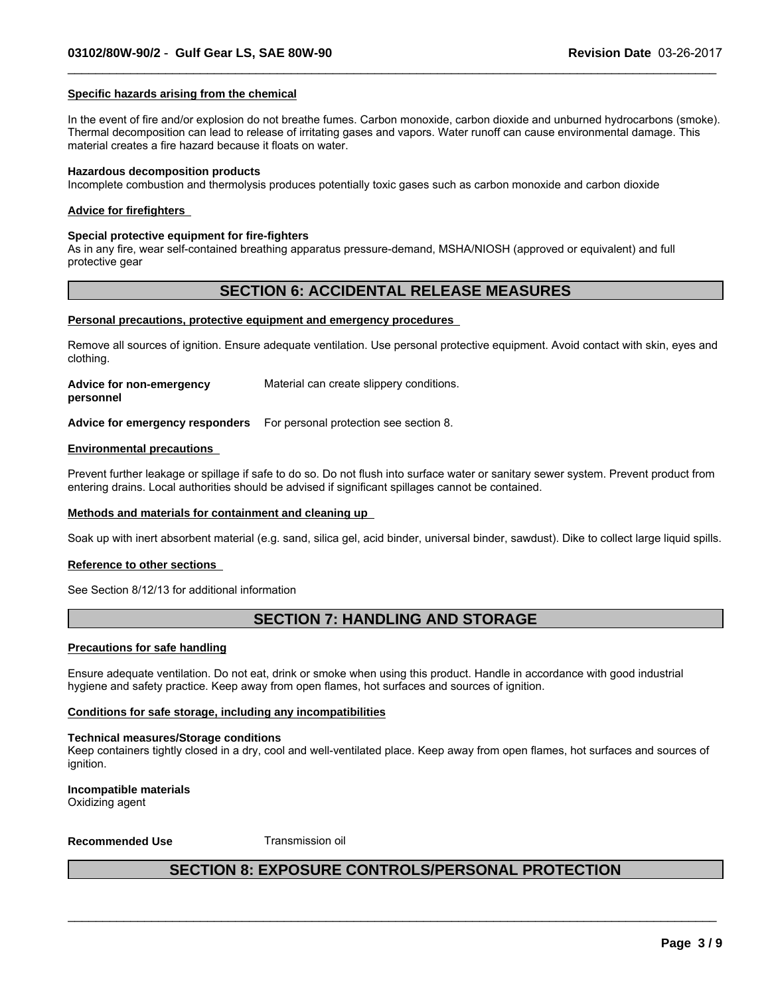#### **Specific hazards arising from the chemical**

In the event of fire and/or explosion do not breathe fumes. Carbon monoxide, carbon dioxide and unburned hydrocarbons (smoke). Thermal decomposition can lead to release of irritating gases and vapors. Water runoff can cause environmental damage. This material creates a fire hazard because it floats on water.

 $\_$  ,  $\_$  ,  $\_$  ,  $\_$  ,  $\_$  ,  $\_$  ,  $\_$  ,  $\_$  ,  $\_$  ,  $\_$  ,  $\_$  ,  $\_$  ,  $\_$  ,  $\_$  ,  $\_$  ,  $\_$  ,  $\_$  ,  $\_$  ,  $\_$  ,  $\_$  ,  $\_$  ,  $\_$  ,  $\_$  ,  $\_$  ,  $\_$  ,  $\_$  ,  $\_$  ,  $\_$  ,  $\_$  ,  $\_$  ,  $\_$  ,  $\_$  ,  $\_$  ,  $\_$  ,  $\_$  ,  $\_$  ,  $\_$  ,

#### **Hazardous decomposition products**

Incomplete combustion and thermolysis produces potentially toxic gases such as carbon monoxide and carbon dioxide

#### **Advice for firefighters**

#### **Special protective equipment for fire-fighters**

As in any fire, wear self-contained breathing apparatus pressure-demand, MSHA/NIOSH (approved or equivalent) and full protective gear

### **SECTION 6: ACCIDENTAL RELEASE MEASURES**

#### **Personal precautions, protective equipment and emergency procedures**

Remove all sources of ignition. Ensure adequate ventilation. Use personal protective equipment. Avoid contact with skin, eyes and clothing.

| <b>Advice for non-emergency</b> | Material can create slippery conditions. |
|---------------------------------|------------------------------------------|
| personnel                       |                                          |
|                                 |                                          |

**Advice for emergency responders** For personal protection see section 8.

#### **Environmental precautions**

Prevent further leakage or spillage if safe to do so. Do not flush into surface water or sanitary sewer system. Prevent product from entering drains. Local authorities should be advised if significant spillages cannot be contained.

#### **Methods and materials for containment and cleaning up**

Soak up with inert absorbent material (e.g. sand, silica gel, acid binder, universal binder, sawdust). Dike to collect large liquid spills.

#### **Reference to other sections**

See Section 8/12/13 for additional information

### **SECTION 7: HANDLING AND STORAGE**

#### **Precautions for safe handling**

Ensure adequate ventilation. Do not eat, drink or smoke when using this product. Handle in accordance with good industrial hygiene and safety practice. Keep away from open flames, hot surfaces and sources of ignition.

#### **Conditions for safe storage, including any incompatibilities**

#### **Technical measures/Storage conditions**

Keep containers tightly closed in a dry, cool and well-ventilated place. Keep away from open flames, hot surfaces and sources of ianition.

### **Incompatible materials**

Oxidizing agent

#### **Recommended Use** Transmission oil

### **SECTION 8: EXPOSURE CONTROLS/PERSONAL PROTECTION**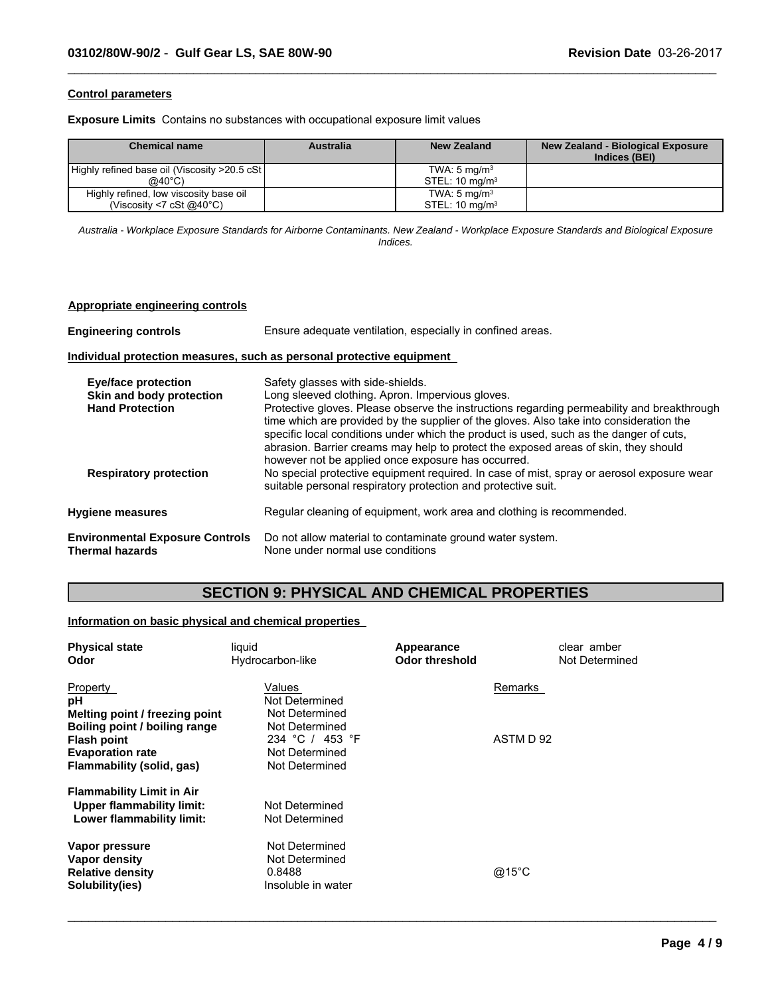#### **Control parameters**

**Exposure Limits** Contains no substances with occupational exposure limit values

| <b>Chemical name</b>                          | Australia | <b>New Zealand</b>           | <b>New Zealand - Biological Exposure</b><br>Indices (BEI) |
|-----------------------------------------------|-----------|------------------------------|-----------------------------------------------------------|
| Highly refined base oil (Viscosity >20.5 cSt) |           | TWA: $5 \text{ mg/m}^3$      |                                                           |
| @40°C)                                        |           | $STEL: 10$ mg/m <sup>3</sup> |                                                           |
| Highly refined, low viscosity base oil        |           | TWA: $5 \text{ mg/m}^3$      |                                                           |
| (Viscosity <7 cSt $@40^{\circ}$ C)            |           | STEL: $10 \text{ mg/m}^3$    |                                                           |

 $\_$  ,  $\_$  ,  $\_$  ,  $\_$  ,  $\_$  ,  $\_$  ,  $\_$  ,  $\_$  ,  $\_$  ,  $\_$  ,  $\_$  ,  $\_$  ,  $\_$  ,  $\_$  ,  $\_$  ,  $\_$  ,  $\_$  ,  $\_$  ,  $\_$  ,  $\_$  ,  $\_$  ,  $\_$  ,  $\_$  ,  $\_$  ,  $\_$  ,  $\_$  ,  $\_$  ,  $\_$  ,  $\_$  ,  $\_$  ,  $\_$  ,  $\_$  ,  $\_$  ,  $\_$  ,  $\_$  ,  $\_$  ,  $\_$  ,

*Australia - Workplace Exposure Standards for Airborne Contaminants. New Zealand - Workplace Exposure Standards and Biological Exposure Indices.*

#### **Appropriate engineering controls**

| <b>Engineering controls</b>                                                                                       | Ensure adequate ventilation, especially in confined areas.                                                                                                                                                                                                                                                                                                                                                                                                                                                                                                                                                                                                                          |  |  |  |  |
|-------------------------------------------------------------------------------------------------------------------|-------------------------------------------------------------------------------------------------------------------------------------------------------------------------------------------------------------------------------------------------------------------------------------------------------------------------------------------------------------------------------------------------------------------------------------------------------------------------------------------------------------------------------------------------------------------------------------------------------------------------------------------------------------------------------------|--|--|--|--|
|                                                                                                                   | Individual protection measures, such as personal protective equipment                                                                                                                                                                                                                                                                                                                                                                                                                                                                                                                                                                                                               |  |  |  |  |
| <b>Eye/face protection</b><br>Skin and body protection<br><b>Hand Protection</b><br><b>Respiratory protection</b> | Safety glasses with side-shields.<br>Long sleeved clothing. Apron. Impervious gloves.<br>Protective gloves. Please observe the instructions regarding permeability and breakthrough<br>time which are provided by the supplier of the gloves. Also take into consideration the<br>specific local conditions under which the product is used, such as the danger of cuts,<br>abrasion. Barrier creams may help to protect the exposed areas of skin, they should<br>however not be applied once exposure has occurred.<br>No special protective equipment required. In case of mist, spray or aerosol exposure wear<br>suitable personal respiratory protection and protective suit. |  |  |  |  |
| <b>Hygiene measures</b>                                                                                           | Regular cleaning of equipment, work area and clothing is recommended.                                                                                                                                                                                                                                                                                                                                                                                                                                                                                                                                                                                                               |  |  |  |  |
| <b>Environmental Exposure Controls</b><br><b>Thermal hazards</b>                                                  | Do not allow material to contaminate ground water system.<br>None under normal use conditions                                                                                                                                                                                                                                                                                                                                                                                                                                                                                                                                                                                       |  |  |  |  |

## **SECTION 9: PHYSICAL AND CHEMICAL PROPERTIES**

### **Information on basic physical and chemical properties**

| <b>Physical state</b>            | liquid             | Appearance     | clear amber    |
|----------------------------------|--------------------|----------------|----------------|
| Odor                             | Hydrocarbon-like   | Odor threshold | Not Determined |
| <b>Property</b>                  | Values             |                | Remarks        |
| рH                               | Not Determined     |                |                |
| Melting point / freezing point   | Not Determined     |                |                |
| Boiling point / boiling range    | Not Determined     |                |                |
| <b>Flash point</b>               | 234 °C / 453 °F    |                | ASTM D 92      |
| <b>Evaporation rate</b>          | Not Determined     |                |                |
| Flammability (solid, gas)        | Not Determined     |                |                |
| <b>Flammability Limit in Air</b> |                    |                |                |
| <b>Upper flammability limit:</b> | Not Determined     |                |                |
| Lower flammability limit:        | Not Determined     |                |                |
| Vapor pressure                   | Not Determined     |                |                |
| Vapor density                    | Not Determined     |                |                |
| <b>Relative density</b>          | 0.8488             |                | @15°C          |
| Solubility(ies)                  | Insoluble in water |                |                |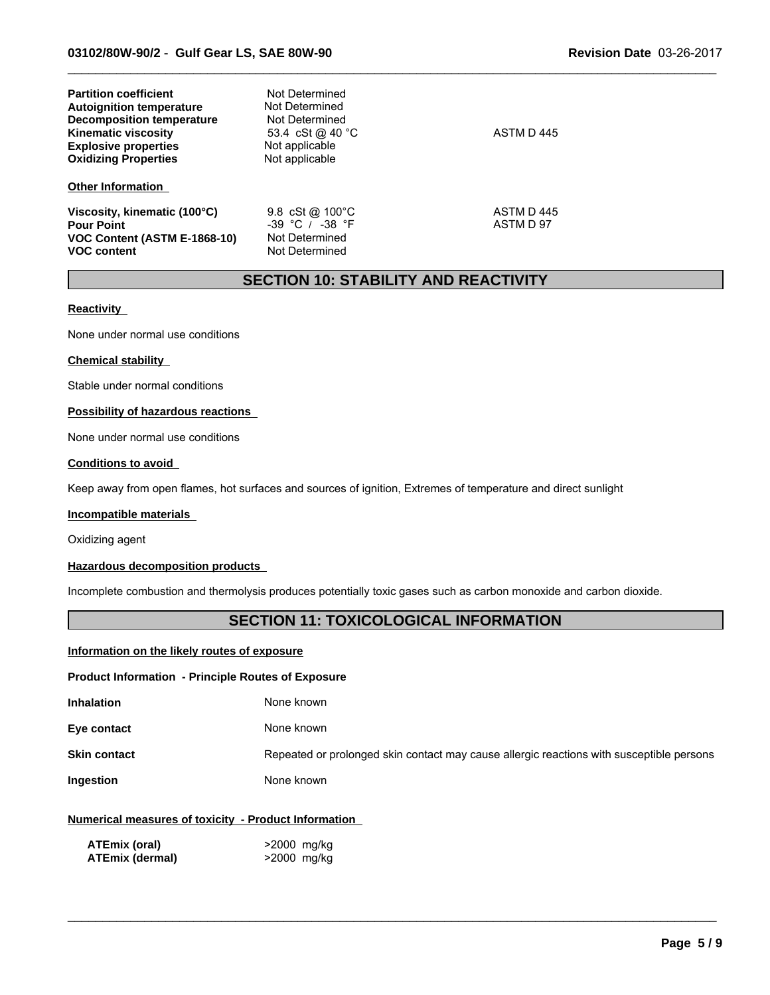| <b>Partition coefficient</b><br><b>Autoignition temperature</b><br><b>Decomposition temperature</b><br><b>Kinematic viscosity</b><br><b>Explosive properties</b><br><b>Oxidizing Properties</b> | Not Determined<br>Not Determined<br>Not Determined<br>53.4 cSt @ 40 °C<br>Not applicable<br>Not applicable | ASTM D 445              |
|-------------------------------------------------------------------------------------------------------------------------------------------------------------------------------------------------|------------------------------------------------------------------------------------------------------------|-------------------------|
| <b>Other Information</b>                                                                                                                                                                        |                                                                                                            |                         |
| Viscosity, kinematic (100°C)<br><b>Pour Point</b><br>VOC Content (ASTM E-1868-10)<br><b>VOC content</b>                                                                                         | 9.8 cSt @ $100^{\circ}$ C<br>$-39$ °C / $-38$ °F<br>Not Determined<br>Not Determined                       | ASTM D 445<br>ASTM D 97 |

### **SECTION 10: STABILITY AND REACTIVITY**

 $\_$  ,  $\_$  ,  $\_$  ,  $\_$  ,  $\_$  ,  $\_$  ,  $\_$  ,  $\_$  ,  $\_$  ,  $\_$  ,  $\_$  ,  $\_$  ,  $\_$  ,  $\_$  ,  $\_$  ,  $\_$  ,  $\_$  ,  $\_$  ,  $\_$  ,  $\_$  ,  $\_$  ,  $\_$  ,  $\_$  ,  $\_$  ,  $\_$  ,  $\_$  ,  $\_$  ,  $\_$  ,  $\_$  ,  $\_$  ,  $\_$  ,  $\_$  ,  $\_$  ,  $\_$  ,  $\_$  ,  $\_$  ,  $\_$  ,

#### **Reactivity**

None under normal use conditions

#### **Chemical stability**

Stable under normal conditions

#### **Possibility of hazardous reactions**

None under normal use conditions

#### **Conditions to avoid**

Keep away from open flames, hot surfaces and sources of ignition, Extremes of temperature and direct sunlight

#### **Incompatible materials**

Oxidizing agent

#### **Hazardous decomposition products**

Incomplete combustion and thermolysis produces potentially toxic gases such as carbon monoxide and carbon dioxide.

### **SECTION 11: TOXICOLOGICAL INFORMATION**

#### **Information on the likely routes of exposure**

#### **Product Information - Principle Routes of Exposure**

| <b>Inhalation</b>   | None known                                                                               |
|---------------------|------------------------------------------------------------------------------------------|
| Eye contact         | None known                                                                               |
| <b>Skin contact</b> | Repeated or prolonged skin contact may cause allergic reactions with susceptible persons |
| Ingestion           | None known                                                                               |

 $\_$  ,  $\_$  ,  $\_$  ,  $\_$  ,  $\_$  ,  $\_$  ,  $\_$  ,  $\_$  ,  $\_$  ,  $\_$  ,  $\_$  ,  $\_$  ,  $\_$  ,  $\_$  ,  $\_$  ,  $\_$  ,  $\_$  ,  $\_$  ,  $\_$  ,  $\_$  ,  $\_$  ,  $\_$  ,  $\_$  ,  $\_$  ,  $\_$  ,  $\_$  ,  $\_$  ,  $\_$  ,  $\_$  ,  $\_$  ,  $\_$  ,  $\_$  ,  $\_$  ,  $\_$  ,  $\_$  ,  $\_$  ,  $\_$  ,

#### **Numerical measures of toxicity - Product Information**

| <b>ATEmix (oral)</b>   | >2000 mg/kg |
|------------------------|-------------|
| <b>ATEmix (dermal)</b> | >2000 mg/kg |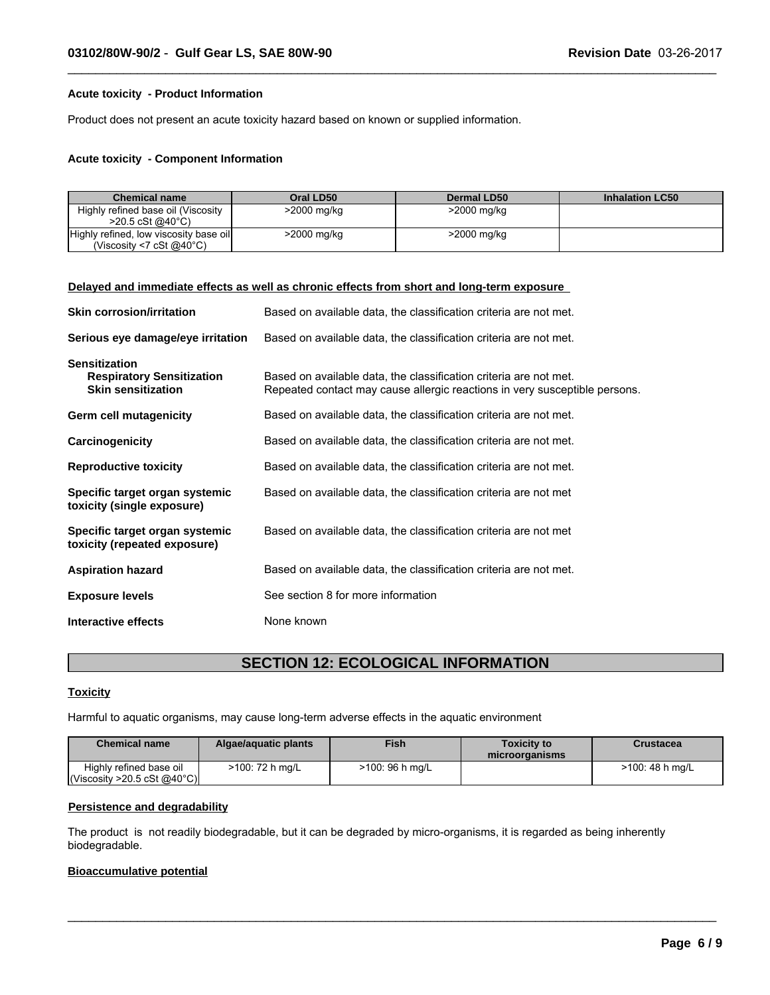#### **Acute toxicity - Product Information**

Product does not present an acute toxicity hazard based on known or supplied information.

#### **Acute toxicity - Component Information**

| <b>Chemical name</b>                                                         | Oral LD50   | Dermal LD50 | <b>Inhalation LC50</b> |
|------------------------------------------------------------------------------|-------------|-------------|------------------------|
| Highly refined base oil (Viscosity<br>$>20.5 \text{ cSt}$ @ 40 °C)           | >2000 mg/kg | >2000 mg/kg |                        |
| Highly refined, low viscosity base oil<br>(Viscosity <7 cSt $@40^{\circ}$ C) | >2000 mg/kg | >2000 mg/kg |                        |

 $\_$  ,  $\_$  ,  $\_$  ,  $\_$  ,  $\_$  ,  $\_$  ,  $\_$  ,  $\_$  ,  $\_$  ,  $\_$  ,  $\_$  ,  $\_$  ,  $\_$  ,  $\_$  ,  $\_$  ,  $\_$  ,  $\_$  ,  $\_$  ,  $\_$  ,  $\_$  ,  $\_$  ,  $\_$  ,  $\_$  ,  $\_$  ,  $\_$  ,  $\_$  ,  $\_$  ,  $\_$  ,  $\_$  ,  $\_$  ,  $\_$  ,  $\_$  ,  $\_$  ,  $\_$  ,  $\_$  ,  $\_$  ,  $\_$  ,

#### **Delayed and immediate effects as well as chronic effects from short and long-term exposure**

| <b>Skin corrosion/irritation</b>                                                      | Based on available data, the classification criteria are not met.                                                                               |
|---------------------------------------------------------------------------------------|-------------------------------------------------------------------------------------------------------------------------------------------------|
| Serious eye damage/eye irritation                                                     | Based on available data, the classification criteria are not met.                                                                               |
| <b>Sensitization</b><br><b>Respiratory Sensitization</b><br><b>Skin sensitization</b> | Based on available data, the classification criteria are not met.<br>Repeated contact may cause allergic reactions in very susceptible persons. |
| Germ cell mutagenicity                                                                | Based on available data, the classification criteria are not met.                                                                               |
| Carcinogenicity                                                                       | Based on available data, the classification criteria are not met.                                                                               |
| <b>Reproductive toxicity</b>                                                          | Based on available data, the classification criteria are not met.                                                                               |
| Specific target organ systemic<br>toxicity (single exposure)                          | Based on available data, the classification criteria are not met                                                                                |
| Specific target organ systemic<br>toxicity (repeated exposure)                        | Based on available data, the classification criteria are not met                                                                                |
| <b>Aspiration hazard</b>                                                              | Based on available data, the classification criteria are not met.                                                                               |
| <b>Exposure levels</b>                                                                | See section 8 for more information                                                                                                              |
| Interactive effects                                                                   | None known                                                                                                                                      |

### **SECTION 12: ECOLOGICAL INFORMATION**

#### **Toxicity**

Harmful to aquatic organisms, may cause long-term adverse effects in the aquatic environment

| <b>Chemical name</b>                        | Algae/aguatic plants | <b>Fish</b>     | Toxicitv to<br>microorganisms | Crustacea       |
|---------------------------------------------|----------------------|-----------------|-------------------------------|-----------------|
| Highly refined base oil                     | >100: 72 h mg/L      | >100: 96 h mg/L |                               | >100: 48 h mg/L |
| $\vert$ (Viscosity >20.5 cSt @40°C) $\vert$ |                      |                 |                               |                 |

 $\_$  ,  $\_$  ,  $\_$  ,  $\_$  ,  $\_$  ,  $\_$  ,  $\_$  ,  $\_$  ,  $\_$  ,  $\_$  ,  $\_$  ,  $\_$  ,  $\_$  ,  $\_$  ,  $\_$  ,  $\_$  ,  $\_$  ,  $\_$  ,  $\_$  ,  $\_$  ,  $\_$  ,  $\_$  ,  $\_$  ,  $\_$  ,  $\_$  ,  $\_$  ,  $\_$  ,  $\_$  ,  $\_$  ,  $\_$  ,  $\_$  ,  $\_$  ,  $\_$  ,  $\_$  ,  $\_$  ,  $\_$  ,  $\_$  ,

#### **Persistence and degradability**

The product is not readily biodegradable, but it can be degraded by micro-organisms, it is regarded as being inherently biodegradable.

#### **Bioaccumulative potential**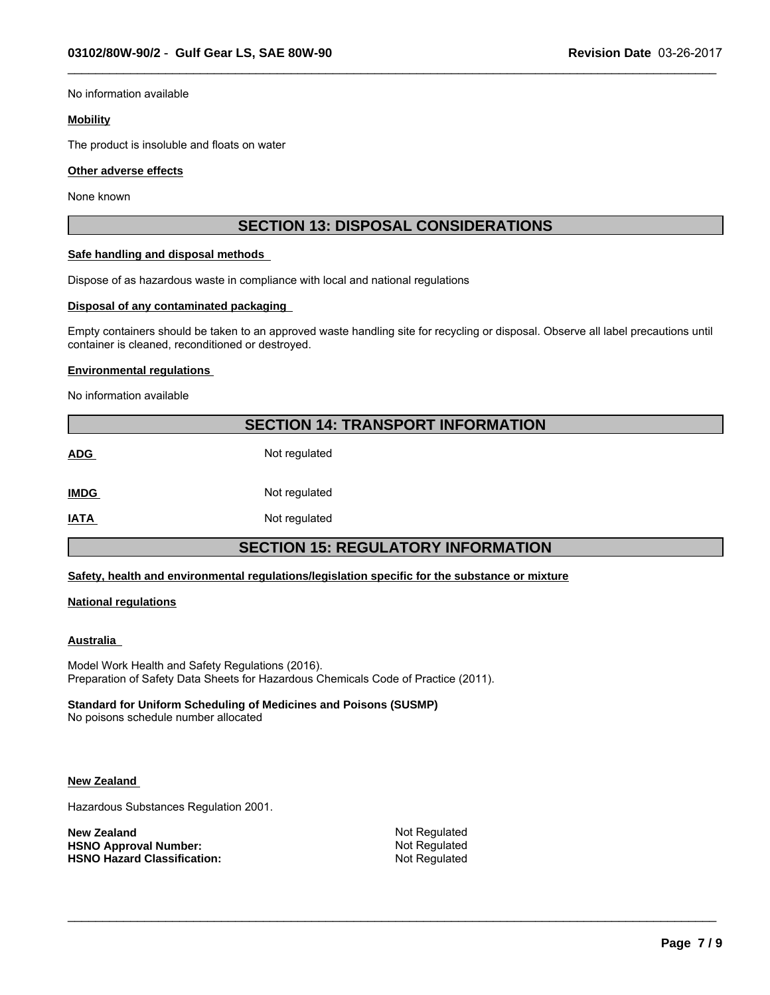No information available

#### **Mobility**

The product is insoluble and floats on water

#### **Other adverse effects**

None known

### **SECTION 13: DISPOSAL CONSIDERATIONS**

 $\_$  ,  $\_$  ,  $\_$  ,  $\_$  ,  $\_$  ,  $\_$  ,  $\_$  ,  $\_$  ,  $\_$  ,  $\_$  ,  $\_$  ,  $\_$  ,  $\_$  ,  $\_$  ,  $\_$  ,  $\_$  ,  $\_$  ,  $\_$  ,  $\_$  ,  $\_$  ,  $\_$  ,  $\_$  ,  $\_$  ,  $\_$  ,  $\_$  ,  $\_$  ,  $\_$  ,  $\_$  ,  $\_$  ,  $\_$  ,  $\_$  ,  $\_$  ,  $\_$  ,  $\_$  ,  $\_$  ,  $\_$  ,  $\_$  ,

#### **Safe handling and disposal methods**

Dispose of as hazardous waste in compliance with local and national regulations

#### **Disposal of any contaminated packaging**

Empty containers should be taken to an approved waste handling site for recycling or disposal. Observe all label precautions until container is cleaned, reconditioned or destroyed.

#### **Environmental regulations**

No information available

### **SECTION 14: TRANSPORT INFORMATION**

**ADG** Not regulated

**IMDG** Not regulated

**IATA** Not regulated

### **SECTION 15: REGULATORY INFORMATION**

**Safety, health and environmental regulations/legislation specific for the substance or mixture**

#### **National regulations**

#### **Australia**

Model Work Health and Safety Regulations (2016). Preparation of Safety Data Sheets for Hazardous Chemicals Code of Practice (2011).

#### **Standard for Uniform Scheduling of Medicines and Poisons (SUSMP)**

No poisons schedule number allocated

#### **New Zealand**

Hazardous Substances Regulation 2001.

**New Zealand** Not Regulated **HSNO Approval Number:** Not Regulated<br> **HSNO Hazard Classification:** Not Regulated **HSNO Hazard Classification:**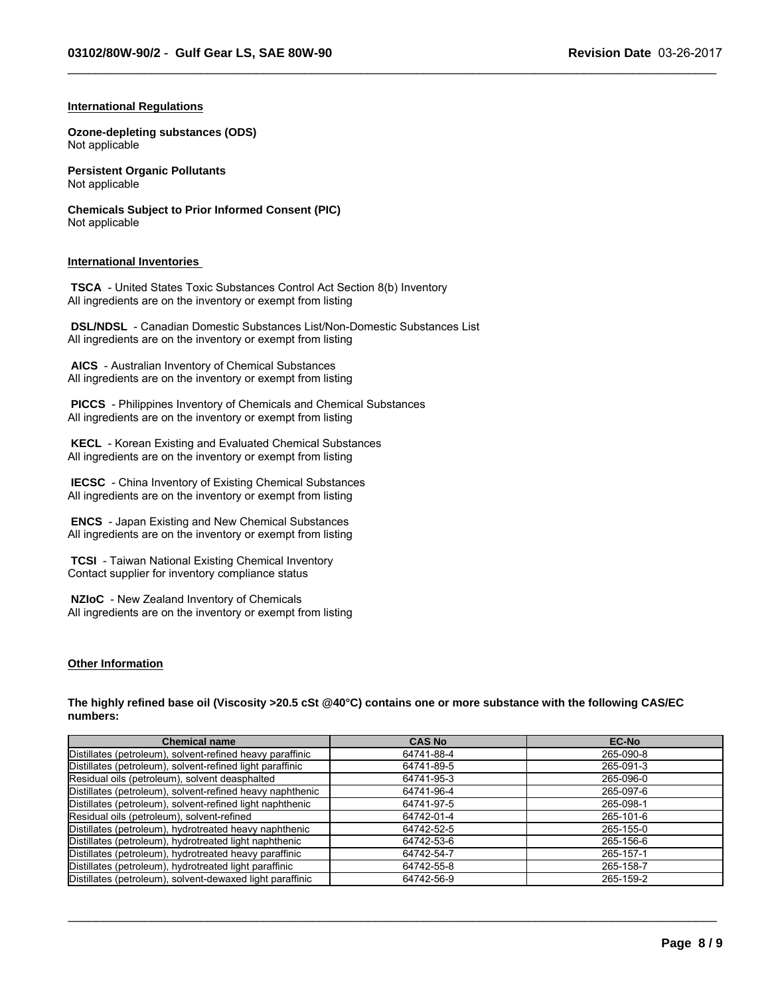$\_$  ,  $\_$  ,  $\_$  ,  $\_$  ,  $\_$  ,  $\_$  ,  $\_$  ,  $\_$  ,  $\_$  ,  $\_$  ,  $\_$  ,  $\_$  ,  $\_$  ,  $\_$  ,  $\_$  ,  $\_$  ,  $\_$  ,  $\_$  ,  $\_$  ,  $\_$  ,  $\_$  ,  $\_$  ,  $\_$  ,  $\_$  ,  $\_$  ,  $\_$  ,  $\_$  ,  $\_$  ,  $\_$  ,  $\_$  ,  $\_$  ,  $\_$  ,  $\_$  ,  $\_$  ,  $\_$  ,  $\_$  ,  $\_$  ,

#### **International Regulations**

**Ozone-depleting substances (ODS)** Not applicable

**Persistent Organic Pollutants** Not applicable

**Chemicals Subject to Prior Informed Consent (PIC)** Not applicable

#### **International Inventories**

 **TSCA** - United States Toxic Substances Control Act Section 8(b) Inventory All ingredients are on the inventory or exempt from listing

 **DSL/NDSL** - Canadian Domestic Substances List/Non-Domestic Substances List All ingredients are on the inventory or exempt from listing

 **AICS** - Australian Inventory of Chemical Substances All ingredients are on the inventory or exempt from listing

 **PICCS** - Philippines Inventory of Chemicals and Chemical Substances All ingredients are on the inventory or exempt from listing

 **KECL** - Korean Existing and Evaluated Chemical Substances All ingredients are on the inventory or exempt from listing

 **IECSC** - China Inventory of Existing Chemical Substances All ingredients are on the inventory or exempt from listing

 **ENCS** - Japan Existing and New Chemical Substances All ingredients are on the inventory or exempt from listing

 **TCSI** - Taiwan National Existing Chemical Inventory Contact supplier for inventory compliance status

 **NZIoC** - New Zealand Inventory of Chemicals All ingredients are on the inventory or exempt from listing

### **Other Information**

**The highly refined base oil (Viscosity >20.5 cSt @40°C) contains one or more substance with the following CAS/EC numbers:**

| <b>Chemical name</b>                                      | <b>CAS No</b> | <b>EC-No</b> |
|-----------------------------------------------------------|---------------|--------------|
| Distillates (petroleum), solvent-refined heavy paraffinic | 64741-88-4    | 265-090-8    |
| Distillates (petroleum), solvent-refined light paraffinic | 64741-89-5    | 265-091-3    |
| Residual oils (petroleum), solvent deasphalted            | 64741-95-3    | 265-096-0    |
| Distillates (petroleum), solvent-refined heavy naphthenic | 64741-96-4    | 265-097-6    |
| Distillates (petroleum), solvent-refined light naphthenic | 64741-97-5    | 265-098-1    |
| Residual oils (petroleum), solvent-refined                | 64742-01-4    | 265-101-6    |
| Distillates (petroleum), hydrotreated heavy naphthenic    | 64742-52-5    | 265-155-0    |
| Distillates (petroleum), hydrotreated light naphthenic    | 64742-53-6    | 265-156-6    |
| Distillates (petroleum), hydrotreated heavy paraffinic    | 64742-54-7    | 265-157-1    |
| Distillates (petroleum), hydrotreated light paraffinic    | 64742-55-8    | 265-158-7    |
| Distillates (petroleum), solvent-dewaxed light paraffinic | 64742-56-9    | 265-159-2    |